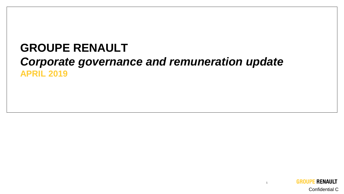### **GROUPE RENAULT**  *Corporate governance and remuneration update* **APRIL 2019**



1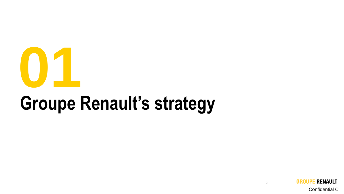

# **Groupe Renault's strategy**



2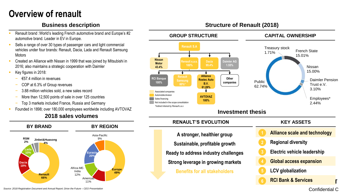### **Overview of renault**

- Renault brand : World's leading French automotive brand and Europe's #2 automotive brand. Leader in EV in Europe.
- Sells a range of over 30 types of passenger cars and light commercial vehicles under four brands: Renault, Dacia, Lada and Renault Samsung **Motors**
- Created an Alliance with Nissan in 1999 that was joined by Mitsubishi in 2016; also maintains a strategic cooperation with Daimler
- Key figures in 2018:
	- − €57.4 million in revenues
	- − COP at 6.3% of Group revenues
	- 3.88 million vehicles sold, a new sales record
	- More than 12,500 points of sale in over 125 countries
	- − Top 3 markets included France, Russia and Germany
- Founded in 1898; over 180,000 employees worldwide including AVTOVAZ

### **2018 sales volumes**





#### **Business description Structure of Renault (2018)**

*Source: 2018 Registration Document and Annual Report; Drive the Future – CEO Presentation*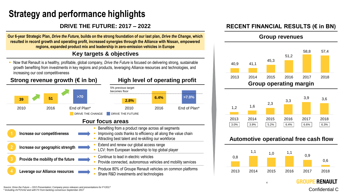### **Strategy and performance highlights**

#### **DRIVE THE FUTURE: 2017 – 2022**

**Our 6-year Strategic Plan,** *Drive the Future,* **builds on the strong foundation of our last plan,** *Drive the Change***, which resulted in record growth and operating profit, increased synergies through the Alliance with Nissan, empowered regions, expanded product mix and leadership in zero-emission vehicles in Europe**

### **Key targets & objectives**

Now that Renault is a healthy, profitable, global company, *Drive the Future* is focused on delivering strong, sustainable growth benefiting from investments in key regions and products, leveraging Alliance resources and technologies, and increasing our cost competitiveness



#### **RECENT FINANCIAL RESULTS (€ in BN)**







#### **Automotive operational free cash flow**



4

**RENAULT** 

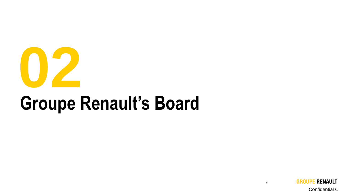

# **Groupe Renault's Board**

**GROUPE RENAULT**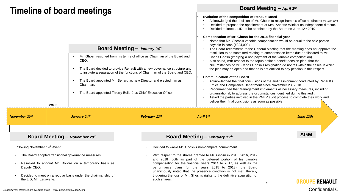### **Timeline of board meetings**

| Board Meeting - January 24th<br>Mr. Ghosn resigned from his terms of office as Chairman of the Board and<br>CEO.<br>The Board decided to provide Renault with a new governance structure and<br>to institute a separation of the functions of Chairman of the Board and CEO.<br>The Board appointed Mr. Senard as new Director and elected him as<br>Chairman.<br>The Board appointed Thierry Bolloré as Chief Executive Officer<br>2019 |  |              |                                                                                                                                                 | Evolution of the composition of Renault Board<br>Compensation of Mr. Ghosn for the 2018 financial year<br>payable in cash (€224,000)<br><b>Communication of the Board</b><br>Ethics and Compliance Department since November 23, 2018<br>deliver their final conclusions as soon as possible | Acknowledged the decision of Mr. Ghosn to resign from his office as director (on June 12 <sup>th</sup> )<br>Decided to propose the appointment of Mrs. Annette Winkler as independent director.<br>Decided to keep a LID, to be appointed by the Board on June 12th 2019<br>Noted that Mr. Ghosn's variable compensation would be equal to the sole portion<br>The Board recommend to the General Meeting that the meeting does not approve the<br>resolution to be submitted relating to compensation items due or allocated to Mr.<br>Carlos Ghosn (implying a non payment of the variable compensation)<br>Also noted, with respect to the topup defined benefit pension plan, that the<br>circumstances of Mr. Carlos Ghosn's resignation do not fall within the cases in which<br>the plan may be open and that he is not entitled to any pension in this respect.<br>Acknowledged the final conclusions of the audit assignment conducted by Renault's<br>Recommended that Management implements all necessary measures, including<br>organizational, to address the circumstances identified during this audit.<br>Asked the parties involved in the RNBV audit process to complete their work and |            |  |
|------------------------------------------------------------------------------------------------------------------------------------------------------------------------------------------------------------------------------------------------------------------------------------------------------------------------------------------------------------------------------------------------------------------------------------------|--|--------------|-------------------------------------------------------------------------------------------------------------------------------------------------|----------------------------------------------------------------------------------------------------------------------------------------------------------------------------------------------------------------------------------------------------------------------------------------------|-----------------------------------------------------------------------------------------------------------------------------------------------------------------------------------------------------------------------------------------------------------------------------------------------------------------------------------------------------------------------------------------------------------------------------------------------------------------------------------------------------------------------------------------------------------------------------------------------------------------------------------------------------------------------------------------------------------------------------------------------------------------------------------------------------------------------------------------------------------------------------------------------------------------------------------------------------------------------------------------------------------------------------------------------------------------------------------------------------------------------------------------------------------------------------------------------------------|------------|--|
| November 20th                                                                                                                                                                                                                                                                                                                                                                                                                            |  | January 24th |                                                                                                                                                 | February 13th                                                                                                                                                                                                                                                                                | April 3rd                                                                                                                                                                                                                                                                                                                                                                                                                                                                                                                                                                                                                                                                                                                                                                                                                                                                                                                                                                                                                                                                                                                                                                                                 | June 12th  |  |
|                                                                                                                                                                                                                                                                                                                                                                                                                                          |  |              |                                                                                                                                                 |                                                                                                                                                                                                                                                                                              |                                                                                                                                                                                                                                                                                                                                                                                                                                                                                                                                                                                                                                                                                                                                                                                                                                                                                                                                                                                                                                                                                                                                                                                                           | <b>AGM</b> |  |
| Board Meeting - November 20th                                                                                                                                                                                                                                                                                                                                                                                                            |  |              |                                                                                                                                                 | Board Meeting - February $13th$                                                                                                                                                                                                                                                              |                                                                                                                                                                                                                                                                                                                                                                                                                                                                                                                                                                                                                                                                                                                                                                                                                                                                                                                                                                                                                                                                                                                                                                                                           |            |  |
| Following November 19th event,                                                                                                                                                                                                                                                                                                                                                                                                           |  |              |                                                                                                                                                 |                                                                                                                                                                                                                                                                                              | Decided to waive Mr. Ghosn's non-compete commitment.                                                                                                                                                                                                                                                                                                                                                                                                                                                                                                                                                                                                                                                                                                                                                                                                                                                                                                                                                                                                                                                                                                                                                      |            |  |
| The Board adopted transitional governance measures                                                                                                                                                                                                                                                                                                                                                                                       |  |              | With respect to the shares granted to Mr. Ghosn in 2015, 2016, 2017<br>and 2018 (both as part of the deferred portion of his variable           |                                                                                                                                                                                                                                                                                              |                                                                                                                                                                                                                                                                                                                                                                                                                                                                                                                                                                                                                                                                                                                                                                                                                                                                                                                                                                                                                                                                                                                                                                                                           |            |  |
| Resolved to appoint Mr. Bolloré on a temporary basis as<br>Deputy CEO.<br>Decided to meet on a regular basis under the chairmanship of<br>the LID, Mr. Lagayette.                                                                                                                                                                                                                                                                        |  |              |                                                                                                                                                 | compensation for the financial years 2014 to 2017, as well as the<br>performance plans for the years 2015 to 2018), the Board                                                                                                                                                                |                                                                                                                                                                                                                                                                                                                                                                                                                                                                                                                                                                                                                                                                                                                                                                                                                                                                                                                                                                                                                                                                                                                                                                                                           |            |  |
|                                                                                                                                                                                                                                                                                                                                                                                                                                          |  | such shares. | unanimously noted that the presence condition is not met, thereby<br>triggering the loss of Mr. Ghosn's rights to the definitive acquisition of | GROU<br>6                                                                                                                                                                                                                                                                                    | <b>RENAULT</b>                                                                                                                                                                                                                                                                                                                                                                                                                                                                                                                                                                                                                                                                                                                                                                                                                                                                                                                                                                                                                                                                                                                                                                                            |            |  |

Confidential C

**Board Meeting –** *April 3rd*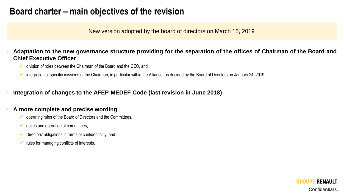### **Board charter – main objectives of the revision**

New version adopted by the board of directors on March 15, 2019

Adaptation to the new governance structure providing for the separation of the offices of Chairman of the Board and **Chief Executive Officer**

- ✓ division of roles between the Chairman of the Board and the CEO, and
- $\checkmark$  integration of specific missions of the Chairman, in particular within the Alliance, as decided by the Board of Directors on January 24, 2019
- **Integration of changes to the AFEP-MEDEF Code (last revision in June 2018)**

#### • **A more complete and precise wording**

- $\checkmark$  operating rules of the Board of Directors and the Committees,
- $\checkmark$  duties and operation of committees,
- $\checkmark$  Directors' obligations in terms of confidentiality, and
- rules for managing conflicts of interests.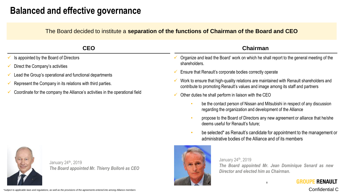### **Balanced and effective governance**

The Board decided to institute a **separation of the functions of Chairman of the Board and CEO**

| <b>CEO</b>                                                                                                                                               | <b>Chairman</b>                                                                                                                                                                                                                        |  |  |
|----------------------------------------------------------------------------------------------------------------------------------------------------------|----------------------------------------------------------------------------------------------------------------------------------------------------------------------------------------------------------------------------------------|--|--|
| Is appointed by the Board of Directors                                                                                                                   | Organize and lead the Board' work on which he shall report to the general meeting of the<br>shareholders.                                                                                                                              |  |  |
| Direct the Company's activities<br>Lead the Group's operational and functional departments<br>Represent the Company in its relations with third parties. | Ensure that Renault's corporate bodies correctly operate<br>Work to ensure that high-quality relations are maintained with Renault shareholders and<br>contribute to promoting Renault's values and image among its staff and partners |  |  |
| Coordinate for the company the Alliance's activities in the operational field                                                                            | Other duties he shall perform in liaison with the CEO                                                                                                                                                                                  |  |  |
|                                                                                                                                                          | be the contact person of Nissan and Mitsubishi in respect of any discussion<br>regarding the organization and development of the Alliance                                                                                              |  |  |
|                                                                                                                                                          | propose to the Board of Directors any new agreement or alliance that he/she<br>deems useful for Renault's future;                                                                                                                      |  |  |
|                                                                                                                                                          | be selected* as Renault's candidate for appointment to the management or<br>administrative bodies of the Alliance and of its members                                                                                                   |  |  |
| January 24 <sup>th</sup> , 2019<br>The Board appointed Mr. Thierry Bolloré as CEO                                                                        | January 24th, 2019<br>The Board appointed Mr. Jean Dominique Senard as new<br>Director and elected him as Chairman.                                                                                                                    |  |  |

8

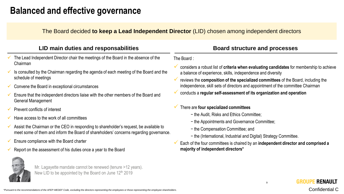### **Balanced and effective governance**

The Board decided **to keep a Lead Independent Director** (LID) chosen among independent directors

| LID main duties and responsabilities |                                                                                                                                                                                  |                                                                                                                                                         | <b>Board structure and processes</b>                                                                                                                                 |  |
|--------------------------------------|----------------------------------------------------------------------------------------------------------------------------------------------------------------------------------|---------------------------------------------------------------------------------------------------------------------------------------------------------|----------------------------------------------------------------------------------------------------------------------------------------------------------------------|--|
|                                      | The Lead Independent Director chair the meetings of the Board in the absence of the<br>Chairman                                                                                  |                                                                                                                                                         | The Board:                                                                                                                                                           |  |
|                                      | Is consulted by the Chairman regarding the agenda of each meeting of the Board and the<br>schedule of meetings                                                                   | considers a robust list of criteria when evaluating candidates for membership to achieve<br>a balance of experience, skills, independence and diversity |                                                                                                                                                                      |  |
|                                      | Convene the Board in exceptional circumstances                                                                                                                                   |                                                                                                                                                         | reviews the composition of the specialized committees of the Board, including the<br>independence, skill sets of directors and appointment of the committee Chairman |  |
|                                      | Ensure that the independent directors liaise with the other members of the Board and<br>General Management                                                                       |                                                                                                                                                         | conducts a regular self-assessment of its organization and operation                                                                                                 |  |
|                                      | Prevent conflicts of interest                                                                                                                                                    |                                                                                                                                                         | There are four specialized committees                                                                                                                                |  |
|                                      | Have access to the work of all committees                                                                                                                                        |                                                                                                                                                         | - the Audit, Risks and Ethics Committee;<br>- the Appointments and Governance Committee;                                                                             |  |
|                                      | Assist the Chairman or the CEO in responding to shareholder's request, be available to<br>meet some of them and inform the Board of shareholders' concerns regarding governance. |                                                                                                                                                         | - the Compensation Committee; and<br>- the (International, Industrial and Digital) Strategy Committee.                                                               |  |
|                                      | Ensure compliance with the Board charter                                                                                                                                         |                                                                                                                                                         | Each of the four committees is chaired by an independent director and comprised a                                                                                    |  |
|                                      | Report on the assessment of his duties once a vear to the Board                                                                                                                  |                                                                                                                                                         | majority of independent directors*                                                                                                                                   |  |



Mr. Lagayette mandate cannot be renewed (tenure >12 years). New LID to be appointed by the Board on June 12<sup>th</sup> 2019

9

**GROUPE RENAULT**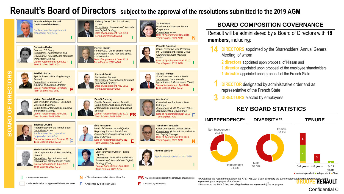### **Renault's Board of Directors subject to the approval of the resolutions submitted to the 2019 AGM**

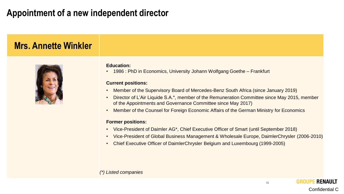### **Appointment of a new independent director**

### **Mrs. Annette Winkler**



#### **Education:**

• 1986 : PhD in Economics, University Johann Wolfgang Goethe – Frankfurt

#### **Current positions:**

- Member of the Supervisory Board of Mercedes-Benz South Africa (since January 2019)
- Director of L'Air Liquide S.A.\*, member of the Remuneration Committee since May 2015, member of the Appointments and Governance Committee since May 2017)
- Member of the Counsel for Foreign Economic Affairs of the German Ministry for Economics

#### **Former positions:**

- Vice-President of Daimler AG\*, Chief Executive Officer of Smart (until September 2018)
- Vice-President of Global Business Management & Wholesale Europe, DaimlerChrysler (2006-2010)
- Chief Executive Officer of DaimlerChrysler Belgium and Luxembourg (1999-2005)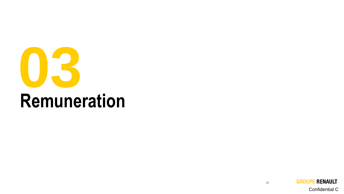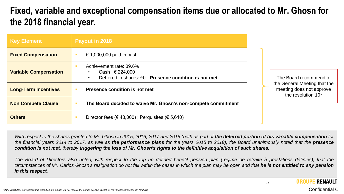### **Fixed, variable and exceptional compensation items due or allocated to Mr. Ghosn for the 2018 financial year.**

| <b>Key Element</b>           | Payout in 2018                                                                                        |  |                                                                                |
|------------------------------|-------------------------------------------------------------------------------------------------------|--|--------------------------------------------------------------------------------|
| <b>Fixed Compensation</b>    | € 1,000,000 paid in cash                                                                              |  | The Board recommend to                                                         |
| <b>Variable Compensation</b> | Achievement rate: 89.6%<br>Cash : € 224,000<br>Deffered in shares: €0 - Presence condition is not met |  |                                                                                |
| <b>Long-Term Incentives</b>  | Presence condition is not met<br>The Board decided to waive Mr. Ghosn's non-compete commitment        |  | the General Meeting that the<br>meeting does not approve<br>the resolution 10* |
| <b>Non Compete Clause</b>    |                                                                                                       |  |                                                                                |
| <b>Others</b>                | Director fees ( $\in$ 48,000); Perquisites ( $\in$ 5,610)                                             |  |                                                                                |

With respect to the shares granted to Mr. Ghosn in 2015, 2016, 2017 and 2018 (both as part of the deferred portion of his variable compensation for the financial years 2014 to 2017, as well as the performance plans for the years 2015 to 2018), the Board unanimously noted that the presence condition is not met, thereby triggering the loss of Mr. Ghosn's rights to the definitive acquisition of such shares.

The Board of Directors also noted, with respect to the top up defined benefit pension plan (régime de retraite à prestations définies), that the circumstances of Mr. Carlos Ghosn's resignation do not fall within the cases in which the plan may be open and that he is not entitled to any pension *in this respect.*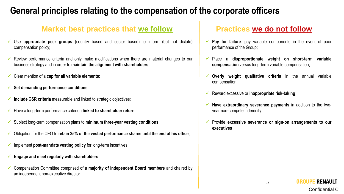### **General principles relating to the compensation of the corporate officers**

### **Market best practices that we follow Practices we do not follow**

- Use **appropriate** peer groups (country based and sector based) to inform (but not dictate) compensation policy;
- ✓ Review performance criteria and only make modifications when there are material changes to our business strategy and in order to **maintain the alignment with shareholders**;
- ✓ Clear mention of a **cap for all variable elements**;
- ✓ **Set demanding performance conditions**;
- ✓ **Include CSR criteria** measurable and linked to strategic objectives;
- ✓ Have a long-term performance criterion **linked to shareholder return**;
- ✓ Subject long-term compensation plans to **minimum three-year vesting conditions**
- ✓ Obligation for the CEO to **retain 25% of the vested performance shares until the end of his office**;
- ✓ Implement **post-mandate vesting policy** for long-term incentives ;
- ✓ **Engage and meet regularly with shareholders**;
- ✓ Compensation Committee comprised of a **majority of independent Board members** and chaired by an independent non-executive director.

- Pay for failure: pay variable components in the event of poor performance of the Group;
- ✓ Place a **disproportionate weight on short-term variable compensation** versus long-term variable compensation;
- ✓ **Overly weight qualitative criteria** in the annual variable compensation;
- ✓ Reward excessive or **inappropriate risk-taking;**
- ✓ **Have extraordinary severance payments** in addition to the twoyear non-compete indemnity;
- ✓ Provide **excessive severance or sign-on arrangements to our executives**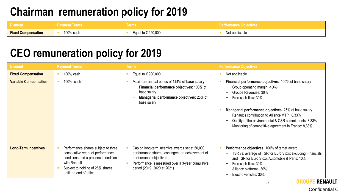## **Chairman remuneration policy for 2019**

| Element                   | ، Pavment Terms ا | ∖ Terms <sup>∖</sup>   | <b>Performance Objectives</b> |
|---------------------------|-------------------|------------------------|-------------------------------|
| <b>Fixed Compensation</b> | 100% cash         | Equal to $\in$ 450,000 | Not applicable                |

### **CEO remuneration policy for 2019**

| <b>Element</b>               | <b>Payment Terms</b>                                                                                                                                                                          | <b>Terms</b>                                                                                                                                                                                                     | <b>Performance Objectives</b>                                                                                                                                                                                                                                                                                                                                                               |
|------------------------------|-----------------------------------------------------------------------------------------------------------------------------------------------------------------------------------------------|------------------------------------------------------------------------------------------------------------------------------------------------------------------------------------------------------------------|---------------------------------------------------------------------------------------------------------------------------------------------------------------------------------------------------------------------------------------------------------------------------------------------------------------------------------------------------------------------------------------------|
| <b>Fixed Compensation</b>    | 100% cash                                                                                                                                                                                     | Equal to $\in$ 900,000                                                                                                                                                                                           | Not applicable                                                                                                                                                                                                                                                                                                                                                                              |
| <b>Variable Compensation</b> | 100% cash                                                                                                                                                                                     | Maximum annual bonus of 125% of base salary<br>Financial performance objectives: 100% of<br>base salary<br>Managerial performance objectives: 25% of<br>base salary                                              | Financial performance objectives: 100% of base salary<br>Group operating margin: 40%<br>Groupe Revenues: 30%<br>Free cash flow: 30%<br>$\overline{\phantom{0}}$<br>Managerial performance objectives: 25% of base salary<br>Renault's contribution to Alliance MTP : 8,33%<br>Quality of the environmental & CSR commitments: 8,33%<br>Monitoring of competitive agreement in France: 8,33% |
| <b>Long-Term Incentives</b>  | Performance shares subject to three<br>consecutive years of performance<br>conditions and a presence condition<br>with Renault<br>Subject to holding of 25% shares<br>until the end of office | Cap on long-term incentive awards set at 50,000<br>performance shares, contingent on achievement of<br>performance objectives<br>Performance is measured over a 3-year cumulative<br>period (2019, 2020 et 2021) | Performance objectives: 100% of target award<br>TSR vs. average of TSR for Euro Stoxx excluding Financials<br>and TSR for Euro Stoxx Automobile & Parts: 10%<br>Free cash flow: 30%<br>Alliance platforms: 30%<br>$\qquad \qquad$<br>Electric vehicles: 30%                                                                                                                                 |

**RENAULT GROUPE**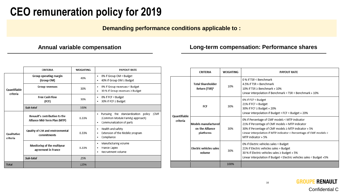## **CEO remuneration policy for 2019**

**Demanding performance conditions applicable to :**

#### **Annual variable compensation Long-term compensation: Performance shares**

|                                | <b>CRITERIA</b>                                               | WEIGHTING | <b>PAYOUT RATE</b>                                                                                                 |
|--------------------------------|---------------------------------------------------------------|-----------|--------------------------------------------------------------------------------------------------------------------|
|                                | Group operating margin<br>(Group OM)                          | 40%       | 0% if Group OM < Budget<br>٠<br>40% if Group OM ≥ Budget<br>٠                                                      |
| Quantifiable<br>criteria       | <b>Group revenues</b>                                         | 30%       | 0% if Group revenues < Budget<br>٠<br>30 % if Group revenues ≥ Budget<br>٠                                         |
|                                | Free Cash Flow<br>(FCF)                                       | 30%       | 0% if FCF < Budget<br>٠<br>30% if FCF ≥ Budget<br>٠                                                                |
|                                | Sub-total                                                     | 100%      |                                                                                                                    |
|                                | Renault's contribution to the<br>Alliance Mid-Term Plan (MTP) | 8.33%     | Pursuing the standardization policy (CMF<br>٠<br>(Common Module Family) approach)<br>Communalization of parts<br>٠ |
| <b>Qualitative</b><br>criteria | Quality of CSR and environmental<br>commitments               | 8.33%     | Health and safety<br>٠<br>Extension of the Mobiliz program<br>٠<br>Compliance<br>٠                                 |
|                                | Monitoring of the multiyear<br>agreement in France            | 8.33%     | Manufacturing volume<br>٠<br>France Capex<br>٠<br>Recruitment volume<br>٠                                          |
|                                | Sub-total                                                     | 25%       |                                                                                                                    |
| <b>Total</b>                   |                                                               | 125%      |                                                                                                                    |

|                          | <b>CRITERIA</b>                                       | WEIGHTING | <b>PAYOUT RATE</b>                                                                                                                                                                                                                                    |
|--------------------------|-------------------------------------------------------|-----------|-------------------------------------------------------------------------------------------------------------------------------------------------------------------------------------------------------------------------------------------------------|
| Quantifiable<br>criteria | <b>Total Shareholder</b><br>Return (TSR) <sup>1</sup> | 10%       | 0 % if TSR < Benchmark<br>$4.5%$ if TSR = Benchmark<br>10% if TSR > Benchmark + 10%<br>Linear interpolation if Benchmark < TSR < Benchmark + 10%                                                                                                      |
|                          | FCF<br>30%                                            |           | 0% if FCF < Budget<br>21% if FCF = Budget<br>30% if FCF ≥ Budget + 20%<br>Linear interpolation if Budget < FCF < Budget + 20%                                                                                                                         |
|                          | Models manufactured<br>on the Alliance<br>platforms   | 30%       | 0% if Percentage of CMF models < MTP indicator<br>21% if Percentage of CMF models = MTP indicator<br>30% if Percentage of CMF models ≥ MTP indicator + 5%<br>Linear interpolation if MTP indicator < Percentage of CMF models <<br>MTP indicator + 5% |
|                          | <b>Electric vehicles sales</b><br>volume              | 30%       | 0% if Electric vehicles sales < Budget<br>21% if Electric vehicles sales = Budget<br>30 % if Electric vehicles sales ≥ Budget + 5%<br>Linear interpolation if Budget < Electric vehicles sales < Budget +5%                                           |
|                          |                                                       | 100%      |                                                                                                                                                                                                                                                       |

**GROUPE RENAULT**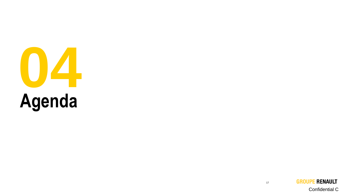

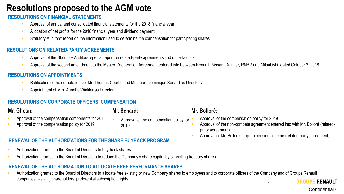### **Resolutions proposed to the AGM vote**

#### **RESOLUTIONS ON FINANCIAL STATEMENTS**

- Approval of annual and consolidated financial statements for the 2018 financial year
- Allocation of net profits for the 2018 financial year and dividend payment
- Statutory Auditors' report on the information used to determine the compensation for participating shares

#### **RESOLUTIONS ON RELATED-PARTY AGREEMENTS**

- Approval of the Statutory Auditors' special report on related-party agreements and undertakings
- Approval of the second amendment to the Master Cooperation Agreement entered into between Renault, Nissan, Daimler, RNBV and Mitsubishi, dated October 3, 2018

#### **RESOLUTIONS ON APPOINTMENTS**

- Ratification of the co-optations of Mr. Thomas Courbe and Mr. Jean-Dominique Senard as Directors
- Appointment of Mrs. Annette Winkler as Director

#### **RESOLUTIONS ON CORPORATE OFFICERS' COMPENSATION**

#### **Mr. Ghosn:**

#### **Mr. Senard:**

2019

- Approval of the compensation components for 2018
- Approval of the compensation policy for 2019

#### **RENEWAL OF THE AUTHORIZATIONS FOR THE SHARE BUYBACK PROGRAM**

- Authorization granted to the Board of Directors to buy-back shares
- Authorization granted to the Board of Directors to reduce the Company's share capital by cancelling treasury shares

#### **RENEWAL OF THE AUTHORIZATION TO ALLOCATE FREE PERFORMANCE SHARES**

• Authorization granted to the Board of Directors to allocate free existing or new Company shares to employees and to corporate officers of the Company and of Groupe Renault companies, waiving shareholders' preferential subscription rights

• Approval of the compensation policy for

#### **Mr. Bolloré:**

• Approval of the compensation policy for 2019

- Approval of the non-compete agreement entered into with Mr. Bolloré (relatedparty agreement)
- Approval of Mr. Bolloré's top-up pension scheme (related-party agreement)

18

**GROUPE RENAULT**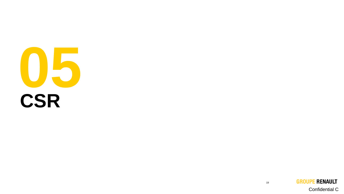